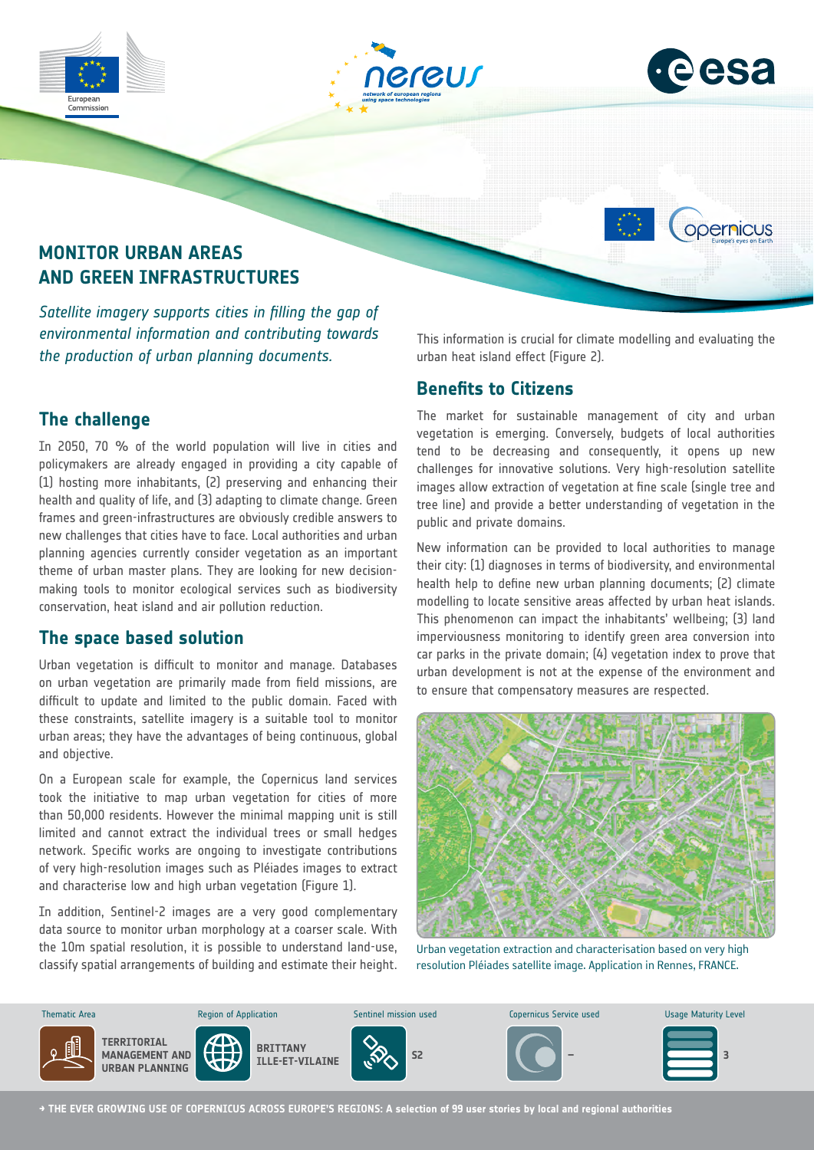





opernicus

# **MONITOR URBAN AREAS AND GREEN INFRASTRUCTURES**

*Satellite imagery supports cities in filling the gap of environmental information and contributing towards the production of urban planning documents.*

# **The challenge**

In 2050, 70 % of the world population will live in cities and policymakers are already engaged in providing a city capable of (1) hosting more inhabitants, (2) preserving and enhancing their health and quality of life, and (3) adapting to climate change. Green frames and green-infrastructures are obviously credible answers to new challenges that cities have to face. Local authorities and urban planning agencies currently consider vegetation as an important theme of urban master plans. They are looking for new decisionmaking tools to monitor ecological services such as biodiversity conservation, heat island and air pollution reduction.

## **The space based solution**

Urban vegetation is difficult to monitor and manage. Databases on urban vegetation are primarily made from field missions, are difficult to update and limited to the public domain. Faced with these constraints, satellite imagery is a suitable tool to monitor urban areas; they have the advantages of being continuous, global and objective.

On a European scale for example, the Copernicus land services took the initiative to map urban vegetation for cities of more than 50,000 residents. However the minimal mapping unit is still limited and cannot extract the individual trees or small hedges network. Specific works are ongoing to investigate contributions of very high-resolution images such as Pléiades images to extract and characterise low and high urban vegetation (Figure 1).

In addition, Sentinel-2 images are a very good complementary data source to monitor urban morphology at a coarser scale. With the 10m spatial resolution, it is possible to understand land-use, classify spatial arrangements of building and estimate their height. This information is crucial for climate modelling and evaluating the urban heat island effect (Figure 2).

## **Benefits to Citizens**

The market for sustainable management of city and urban vegetation is emerging. Conversely, budgets of local authorities tend to be decreasing and consequently, it opens up new challenges for innovative solutions. Very high-resolution satellite images allow extraction of vegetation at fine scale (single tree and tree line) and provide a better understanding of vegetation in the public and private domains.

New information can be provided to local authorities to manage their city: (1) diagnoses in terms of biodiversity, and environmental health help to define new urban planning documents; (2) climate modelling to locate sensitive areas affected by urban heat islands. This phenomenon can impact the inhabitants' wellbeing; (3) land imperviousness monitoring to identify green area conversion into car parks in the private domain; (4) vegetation index to prove that urban development is not at the expense of the environment and to ensure that compensatory measures are respected.



Urban vegetation extraction and characterisation based on very high resolution Pléiades satellite image. Application in Rennes, FRANCE.



**→ THE EVER GROWING USE OF COPERNICUS ACROSS EUROPE'S REGIONS: A selection of 99 user stories by local and regional authorities**